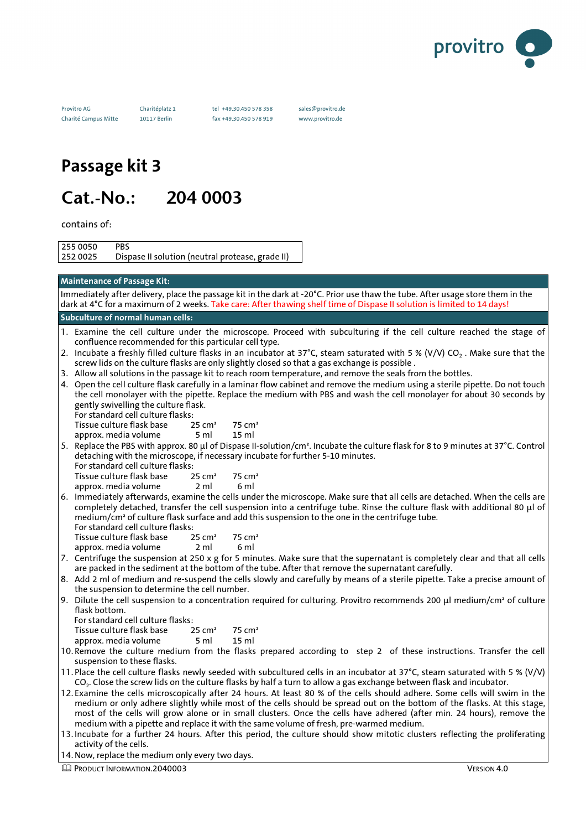

Provitro AG Charitéplatz 1 tel +49.30.450 578 358 sales@provitro.de Charité Campus Mitte 10117 Berlin fax +49.30.450 578 919 www.provitro.de

# **Passage kit 3**

# Cat.-No.: 204 0003

contains of:

255 0050 PBS 252 0025 Dispase II solution (neutral protease, grade II)

### **Maintenance of Passage Kit:**

Immediately after delivery, place the passage kit in the dark at -20°C. Prior use thaw the tube. After usage store them in the dark at 4°C for a maximum of 2 weeks. Take care: After thawing shelf time of Dispase II solution is limited to 14 days!

#### **Subculture of normal human cells:**

- 1. Examine the cell culture under the microscope. Proceed with subculturing if the cell culture reached the stage of confluence recommended for this particular cell type.
- 2. Incubate a freshly filled culture flasks in an incubator at 37°C, steam saturated with 5 % (V/V) CO<sub>2</sub>. Make sure that the screw lids on the culture flasks are only slightly closed so that a gas exchange is possible .
- 3. Allow all solutions in the passage kit to reach room temperature, and remove the seals from the bottles.
- 4. Open the cell culture flask carefully in a laminar flow cabinet and remove the medium using a sterile pipette. Do not touch the cell monolayer with the pipette. Replace the medium with PBS and wash the cell monolayer for about 30 seconds by gently swivelling the culture flask.

For standard cell culture flasks: Tissue culture flask base 
$$
25 \text{ cm}^2
$$
 75 cm<sup>2</sup>

- approx. media volume 5 ml 15 ml
- 5. Replace the PBS with approx. 80 µl of Dispase II-solution/cm². Incubate the culture flask for 8 to 9 minutes at 37°C. Control detaching with the microscope, if necessary incubate for further 5-10 minutes.

For standard cell culture flasks:

Tissue culture flask base 25 cm<sup>2</sup> 75 cm<sup>2</sup>

- approx. media volume 2 ml 6 ml
- 6. Immediately afterwards, examine the cells under the microscope. Make sure that all cells are detached. When the cells are completely detached, transfer the cell suspension into a centrifuge tube. Rinse the culture flask with additional 80 µl of medium/cm² of culture flask surface and add this suspension to the one in the centrifuge tube.
	- For standard cell culture flasks:<br>Tissue culture flask base 25 cm<sup>2</sup> Tissue culture flask base  $25 \text{ cm}^2$   $75 \text{ cm}^3$ <br>approx. media volume  $2 \text{ ml}$  6 ml approx. media volume
- 7. Centrifuge the suspension at 250 x g for 5 minutes. Make sure that the supernatant is completely clear and that all cells are packed in the sediment at the bottom of the tube. After that remove the supernatant carefully.
- 8. Add 2 ml of medium and re-suspend the cells slowly and carefully by means of a sterile pipette. Take a precise amount of the suspension to determine the cell number.
- 9. Dilute the cell suspension to a concentration required for culturing. Provitro recommends 200 µl medium/cm<sup>2</sup> of culture flask bottom.

For standard cell culture flasks:<br>Tissue culture flask base 25 cm<sup>2</sup> Tissue culture flask base 25 cm<sup>2</sup> 75 cm<sup>2</sup><br>approx. media volume 5 ml 15 ml approx. media volume 5 ml 15 ml

- 10.Remove the culture medium from the flasks prepared according to step 2 of these instructions. Transfer the cell suspension to these flasks.
- 11. Place the cell culture flasks newly seeded with subcultured cells in an incubator at 37°C, steam saturated with 5 % (V/V) CO<sup>2</sup> . Close the screw lids on the culture flasks by half a turn to allow a gas exchange between flask and incubator.
- 12. Examine the cells microscopically after 24 hours. At least 80 % of the cells should adhere. Some cells will swim in the medium or only adhere slightly while most of the cells should be spread out on the bottom of the flasks. At this stage, most of the cells will grow alone or in small clusters. Once the cells have adhered (after min. 24 hours), remove the medium with a pipette and replace it with the same volume of fresh, pre-warmed medium.
- 13.Incubate for a further 24 hours. After this period, the culture should show mitotic clusters reflecting the proliferating activity of the cells.
- 14.Now, replace the medium only every two days.